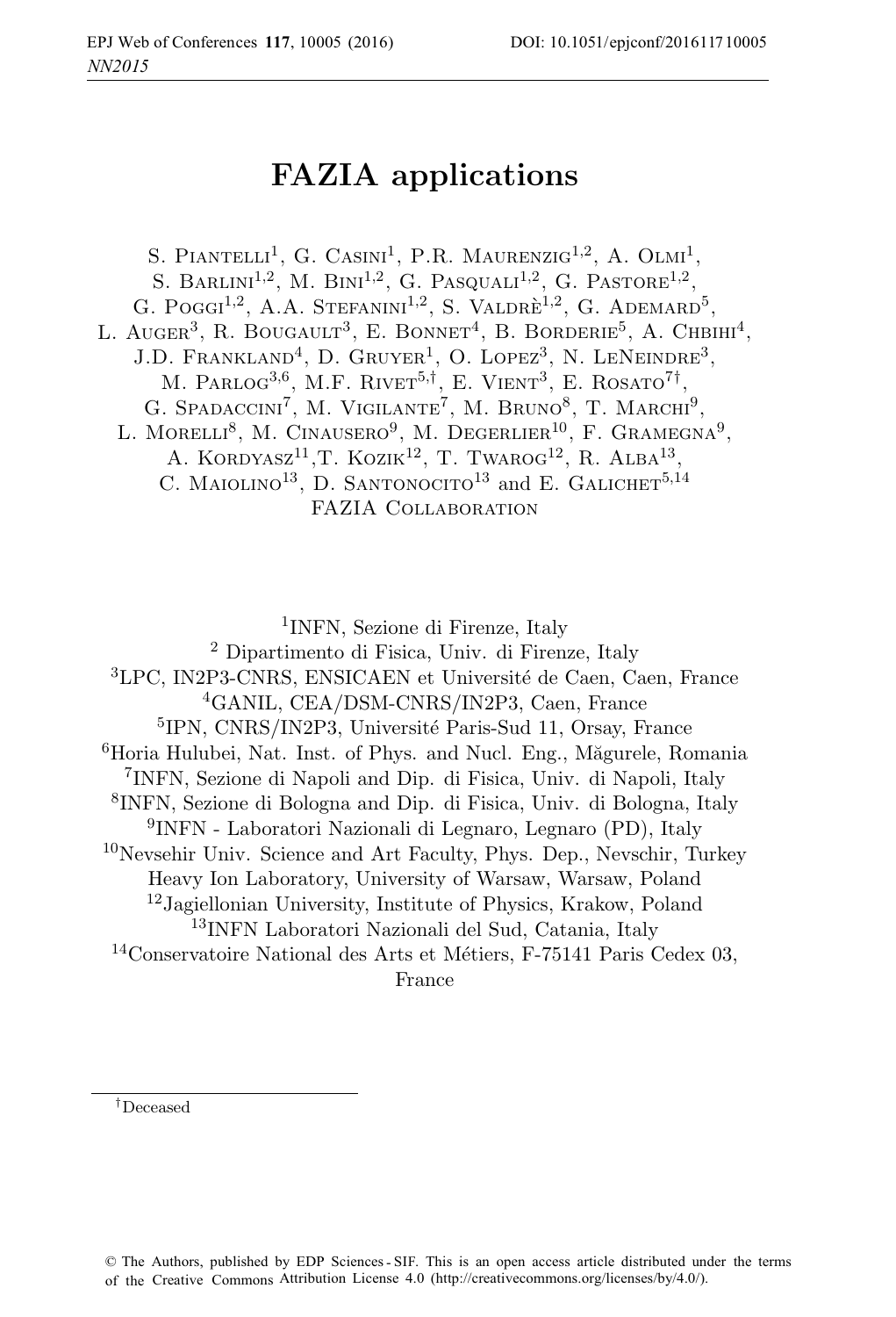# **FAZIA applications**

S. PIANTELLI<sup>1</sup>, G. CASINI<sup>1</sup>, P.R. MAURENZIG<sup>1,2</sup>, A. OLMI<sup>1</sup>, S. BARLINI<sup>1,2</sup>, M. BINI<sup>1,2</sup>, G. PASQUALI<sup>1,2</sup>, G. PASTORE<sup>1,2</sup>, G. POGGI<sup>1,2</sup>, A.A. STEFANINI<sup>1,2</sup>, S. VALDRE<sup>1,2</sup>, G. ADEMARD<sup>5</sup>, L. AUGER<sup>3</sup>, R. BOUGAULT<sup>3</sup>, E. BONNET<sup>4</sup>, B. BORDERIE<sup>5</sup>, A. CHBIHI<sup>4</sup>, J.D. FRANKLAND<sup>4</sup>, D. GRUYER<sup>1</sup>, O. LOPEZ<sup>3</sup>, N. LENEINDRE<sup>3</sup>, M. PARLOG<sup>3,6</sup>, M.F. RIVET<sup>5,†</sup>, E. VIENT<sup>3</sup>, E. ROSATO<sup>7†</sup>, G. SPADACCINI<sup>7</sup>, M. VIGILANTE<sup>7</sup>, M. BRUNO<sup>8</sup>, T. MARCHI<sup>9</sup>, L. MORELLI<sup>8</sup>, M. CINAUSERO<sup>9</sup>, M. DEGERLIER<sup>10</sup>, F. GRAMEGNA<sup>9</sup>, A. KORDYASZ<sup>11</sup>, T. KOZIK<sup>12</sup>, T. TWAROG<sup>12</sup>, R. ALBA<sup>13</sup>, C. MAIOLINO<sup>13</sup>, D. SANTONOCITO<sup>13</sup> and E. GALICHET<sup>5,14</sup> FAZIA Collaboration

<sup>1</sup>INFN, Sezione di Firenze, Italy

<sup>2</sup> Dipartimento di Fisica, Univ. di Firenze, Italy <sup>3</sup>LPC, IN2P3-CNRS, ENSICAEN et Université de Caen, Caen, France

<sup>4</sup>GANIL, CEA/DSM-CNRS/IN2P3, Caen, France

<sup>5</sup>IPN, CNRS/IN2P3, Université Paris-Sud 11, Orsay, France

 ${}^{6}$ Horia Hulubei, Nat. Inst. of Phys. and Nucl. Eng., Măgurele, Romania

<sup>7</sup>INFN, Sezione di Napoli and Dip. di Fisica, Univ. di Napoli, Italy

<sup>8</sup>INFN, Sezione di Bologna and Dip. di Fisica, Univ. di Bologna, Italy

<sup>9</sup>INFN - Laboratori Nazionali di Legnaro, Legnaro (PD), Italy

<sup>10</sup>Nevsehir Univ. Science and Art Faculty, Phys. Dep., Nevschir, Turkey

Heavy Ion Laboratory, University of Warsaw, Warsaw, Poland <sup>12</sup>Jagiellonian University, Institute of Physics, Krakow, Poland

<sup>13</sup>INFN Laboratori Nazionali del Sud, Catania, Italy

<sup>14</sup>Conservatoire National des Arts et Métiers, F-75141 Paris Cedex 03, France

†Deceased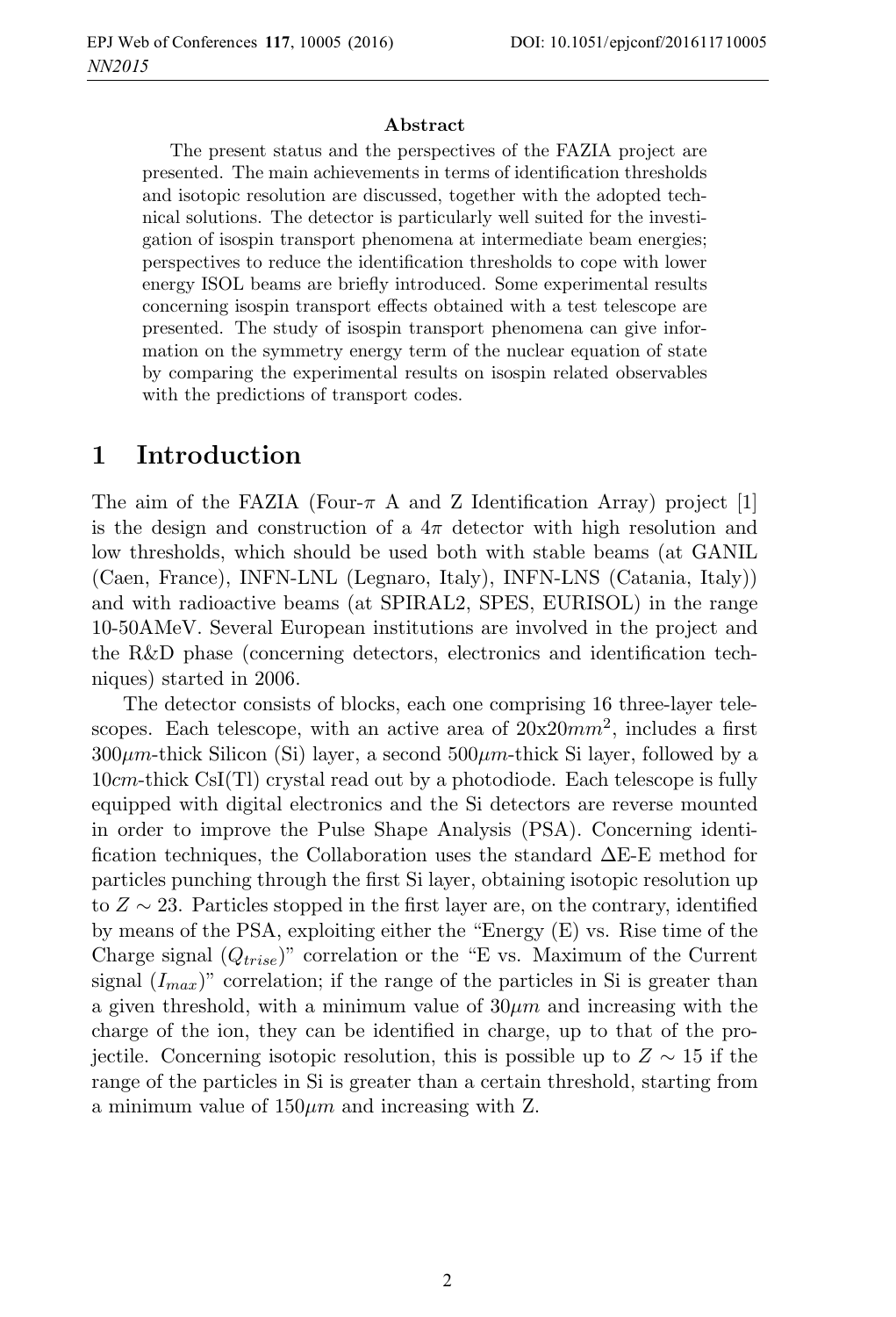#### **Abstract**

The present status and the perspectives of the FAZIA project are presented. The main achievements in terms of identification thresholds and isotopic resolution are discussed, together with the adopted technical solutions. The detector is particularly well suited for the investigation of isospin transport phenomena at intermediate beam energies; perspectives to reduce the identification thresholds to cope with lower energy ISOL beams are briefly introduced. Some experimental results concerning isospin transport effects obtained with a test telescope are presented. The study of isospin transport phenomena can give information on the symmetry energy term of the nuclear equation of state by comparing the experimental results on isospin related observables with the predictions of transport codes.

### **1 Introduction**

The aim of the FAZIA (Four- $\pi$  A and Z Identification Array) project [1] is the design and construction of a  $4\pi$  detector with high resolution and low thresholds, which should be used both with stable beams (at GANIL (Caen, France), INFN-LNL (Legnaro, Italy), INFN-LNS (Catania, Italy)) and with radioactive beams (at SPIRAL2, SPES, EURISOL) in the range 10-50AMeV. Several European institutions are involved in the project and the R&D phase (concerning detectors, electronics and identification techniques) started in 2006.

The detector consists of blocks, each one comprising 16 three-layer telescopes. Each telescope, with an active area of  $20x20mm^2$ , includes a first  $300\mu$ m-thick Silicon (Si) layer, a second  $500\mu$ m-thick Si layer, followed by a 10cm-thick CsI(Tl) crystal read out by a photodiode. Each telescope is fully equipped with digital electronics and the Si detectors are reverse mounted in order to improve the Pulse Shape Analysis (PSA). Concerning identification techniques, the Collaboration uses the standard  $\Delta E$ -E method for particles punching through the first Si layer, obtaining isotopic resolution up to  $Z \sim 23$ . Particles stopped in the first layer are, on the contrary, identified by means of the PSA, exploiting either the "Energy (E) vs. Rise time of the Charge signal  $(Q_{trise})$ " correlation or the "E vs. Maximum of the Current" signal  $(I_{max})$ " correlation; if the range of the particles in Si is greater than a given threshold, with a minimum value of  $30 \mu m$  and increasing with the charge of the ion, they can be identified in charge, up to that of the projectile. Concerning isotopic resolution, this is possible up to  $Z \sim 15$  if the range of the particles in Si is greater than a certain threshold, starting from a minimum value of  $150 \mu m$  and increasing with Z.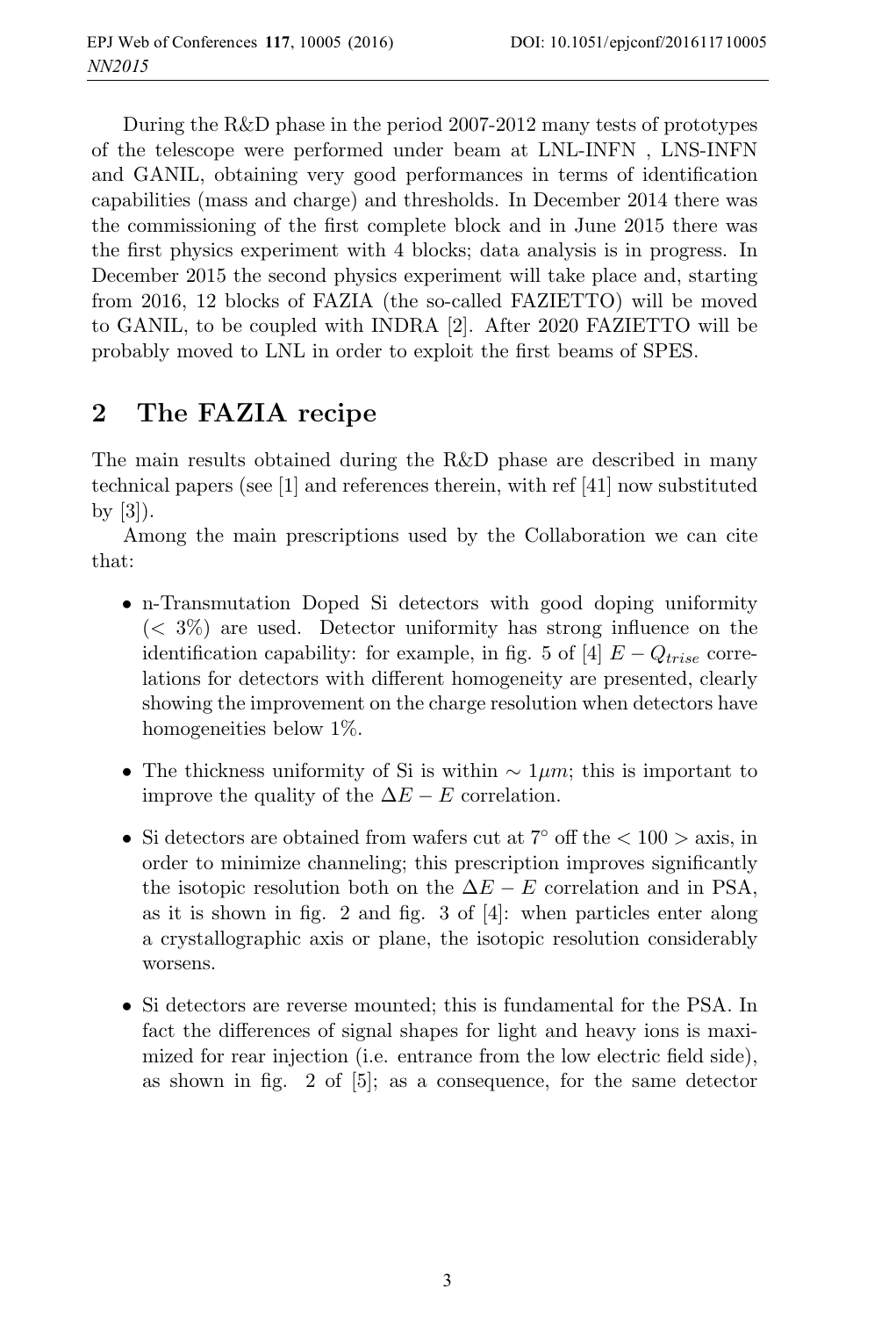During the R&D phase in the period 2007-2012 many tests of prototypes of the telescope were performed under beam at LNL-INFN , LNS-INFN and GANIL, obtaining very good performances in terms of identification capabilities (mass and charge) and thresholds. In December 2014 there was the commissioning of the first complete block and in June 2015 there was the first physics experiment with 4 blocks; data analysis is in progress. In December 2015 the second physics experiment will take place and, starting from 2016, 12 blocks of FAZIA (the so-called FAZIETTO) will be moved to GANIL, to be coupled with INDRA [2]. After 2020 FAZIETTO will be probably moved to LNL in order to exploit the first beams of SPES.

# **2 The FAZIA recipe**

The main results obtained during the R&D phase are described in many technical papers (see [1] and references therein, with ref [41] now substituted by [3]).

Among the main prescriptions used by the Collaboration we can cite that:

- n-Transmutation Doped Si detectors with good doping uniformity  $(< 3\%)$  are used. Detector uniformity has strong influence on the identification capability: for example, in fig. 5 of [4]  $E - Q_{trise}$  correlations for detectors with different homogeneity are presented, clearly showing the improvement on the charge resolution when detectors have homogeneities below 1\%.
- The thickness uniformity of Si is within  $\sim 1 \mu m$ ; this is important to improve the quality of the  $\Delta E - E$  correlation.
- Si detectors are obtained from wafers cut at  $7^{\circ}$  off the  $< 100 > \text{axis}$ , in order to minimize channeling; this prescription improves significantly the isotopic resolution both on the  $\Delta E - E$  correlation and in PSA, as it is shown in fig. 2 and fig. 3 of [4]: when particles enter along a crystallographic axis or plane, the isotopic resolution considerably worsens.
- Si detectors are reverse mounted; this is fundamental for the PSA. In fact the differences of signal shapes for light and heavy ions is maximized for rear injection (i.e. entrance from the low electric field side), as shown in fig. 2 of [5]; as a consequence, for the same detector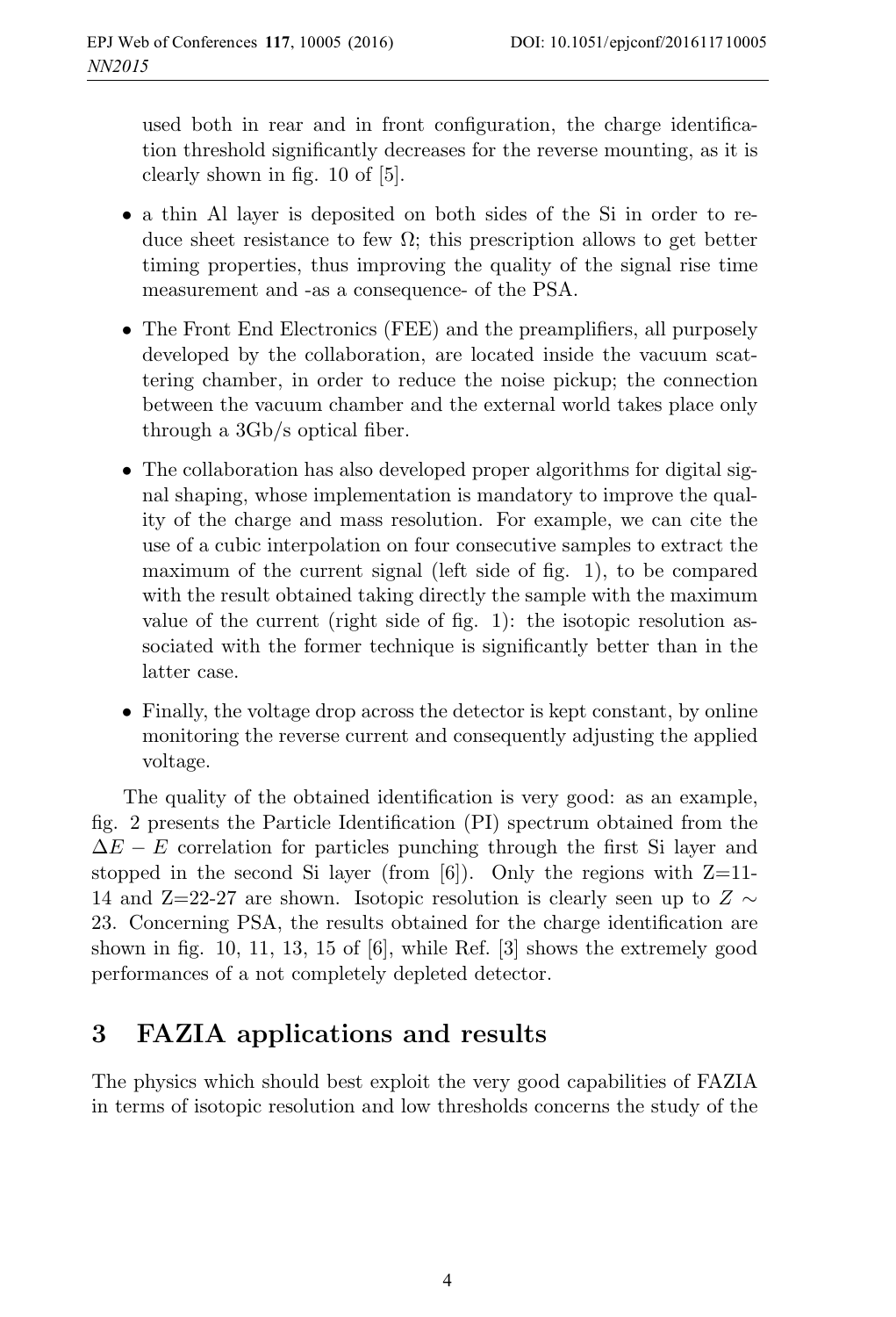used both in rear and in front configuration, the charge identification threshold significantly decreases for the reverse mounting, as it is clearly shown in fig. 10 of [5].

- a thin Al layer is deposited on both sides of the Si in order to reduce sheet resistance to few  $\Omega$ ; this prescription allows to get better timing properties, thus improving the quality of the signal rise time measurement and -as a consequence- of the PSA.
- The Front End Electronics (FEE) and the preamplifiers, all purposely developed by the collaboration, are located inside the vacuum scattering chamber, in order to reduce the noise pickup; the connection between the vacuum chamber and the external world takes place only through a 3Gb/s optical fiber.
- The collaboration has also developed proper algorithms for digital signal shaping, whose implementation is mandatory to improve the quality of the charge and mass resolution. For example, we can cite the use of a cubic interpolation on four consecutive samples to extract the maximum of the current signal (left side of fig. 1), to be compared with the result obtained taking directly the sample with the maximum value of the current (right side of fig. 1): the isotopic resolution associated with the former technique is significantly better than in the latter case.
- Finally, the voltage drop across the detector is kept constant, by online monitoring the reverse current and consequently adjusting the applied voltage.

The quality of the obtained identification is very good: as an example, fig. 2 presents the Particle Identification (PI) spectrum obtained from the  $\Delta E - E$  correlation for particles punching through the first Si layer and stopped in the second Si layer (from  $[6]$ ). Only the regions with  $Z=11$ -14 and Z=22-27 are shown. Isotopic resolution is clearly seen up to  $Z \sim$ 23. Concerning PSA, the results obtained for the charge identification are shown in fig. 10, 11, 13, 15 of [6], while Ref. [3] shows the extremely good performances of a not completely depleted detector.

### **3 FAZIA applications and results**

The physics which should best exploit the very good capabilities of FAZIA in terms of isotopic resolution and low thresholds concerns the study of the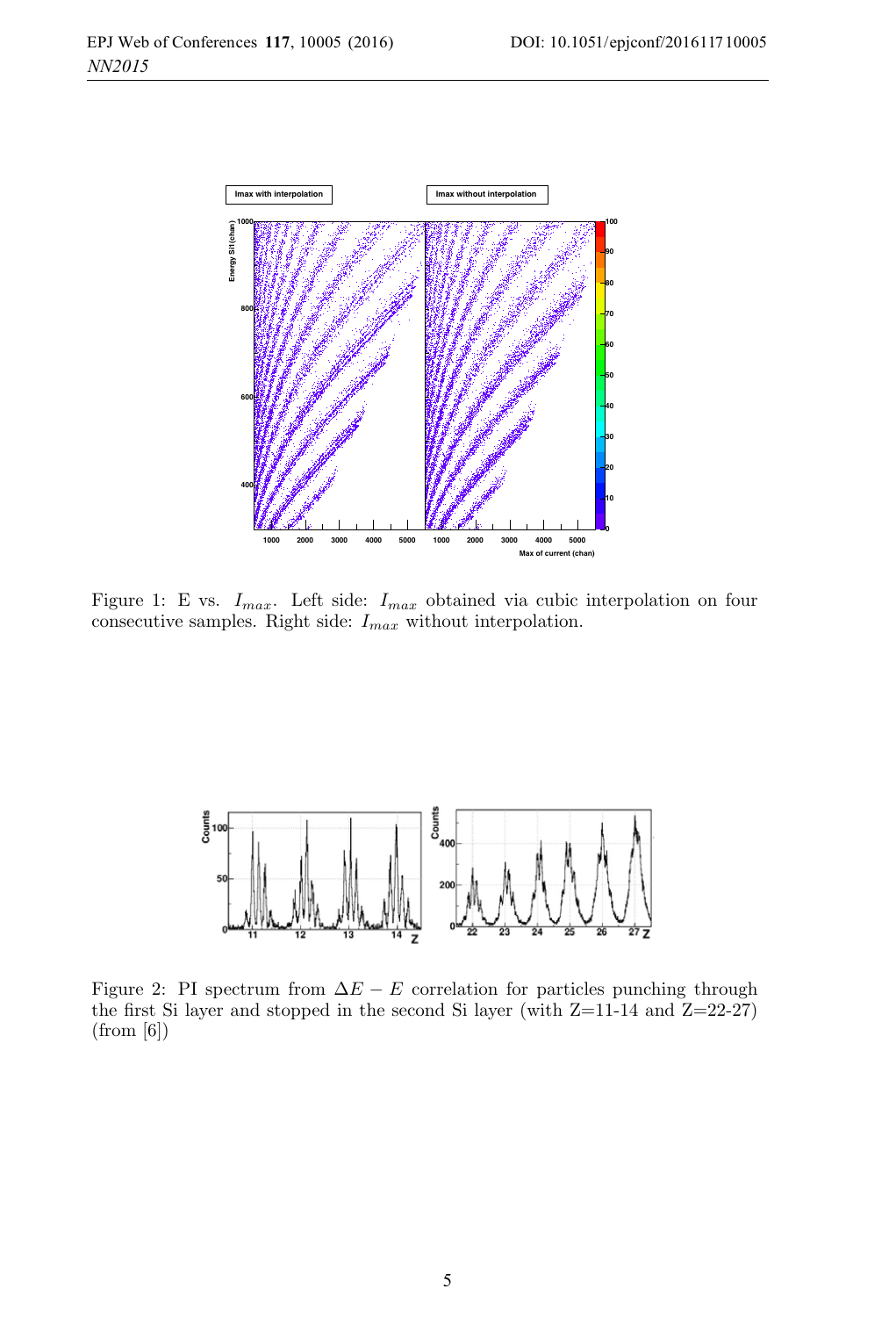

Figure 1: E vs.  $I_{max}$ . Left side:  $I_{max}$  obtained via cubic interpolation on four consecutive samples. Right side:  $I_{max}$  without interpolation.



Figure 2: PI spectrum from  $\Delta E - E$  correlation for particles punching through the first Si layer and stopped in the second Si layer (with  $Z=11-14$  and  $Z=22-27$ ) (from [6])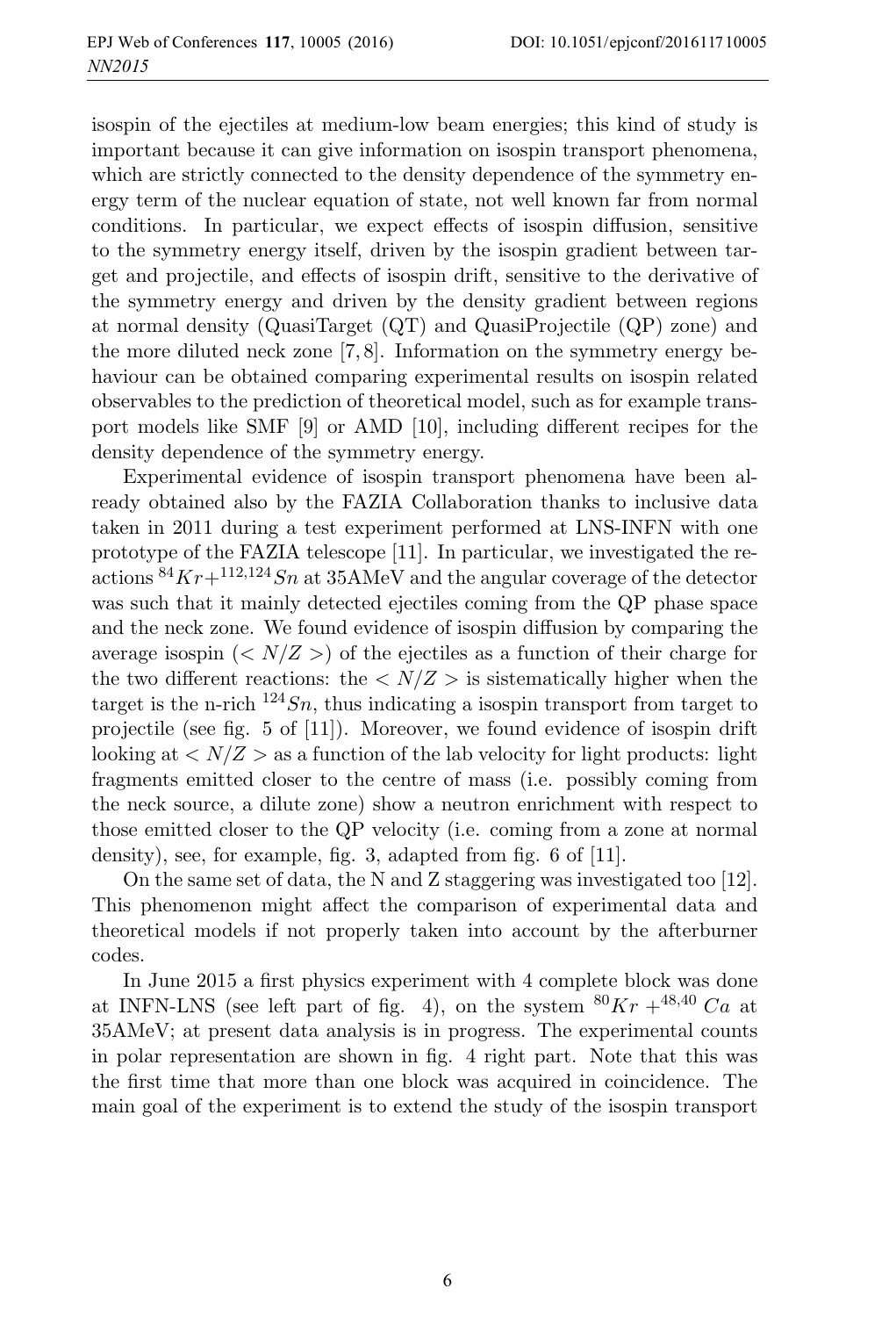isospin of the ejectiles at medium-low beam energies; this kind of study is important because it can give information on isospin transport phenomena, which are strictly connected to the density dependence of the symmetry energy term of the nuclear equation of state, not well known far from normal conditions. In particular, we expect effects of isospin diffusion, sensitive to the symmetry energy itself, driven by the isospin gradient between target and projectile, and effects of isospin drift, sensitive to the derivative of the symmetry energy and driven by the density gradient between regions at normal density (QuasiTarget (QT) and QuasiProjectile (QP) zone) and the more diluted neck zone [7, 8]. Information on the symmetry energy behaviour can be obtained comparing experimental results on isospin related observables to the prediction of theoretical model, such as for example transport models like SMF [9] or AMD [10], including different recipes for the density dependence of the symmetry energy.

Experimental evidence of isospin transport phenomena have been already obtained also by the FAZIA Collaboration thanks to inclusive data taken in 2011 during a test experiment performed at LNS-INFN with one prototype of the FAZIA telescope [11]. In particular, we investigated the reactions  ${}^{84}Kr+{}^{112,124}Sn$  at 35AMeV and the angular coverage of the detector was such that it mainly detected ejectiles coming from the QP phase space and the neck zone. We found evidence of isospin diffusion by comparing the average isospin  $\left\langle \langle N/Z \rangle \right\rangle$  of the ejectiles as a function of their charge for the two different reactions: the  $\langle N/Z \rangle$  is sistematically higher when the target is the n-rich  $124Sn$ , thus indicating a isospin transport from target to projectile (see fig. 5 of [11]). Moreover, we found evidence of isospin drift looking at  $\langle N/Z \rangle$  as a function of the lab velocity for light products: light fragments emitted closer to the centre of mass (i.e. possibly coming from the neck source, a dilute zone) show a neutron enrichment with respect to those emitted closer to the QP velocity (i.e. coming from a zone at normal density), see, for example, fig. 3, adapted from fig. 6 of [11].

On the same set of data, the N and Z staggering was investigated too [12]. This phenomenon might affect the comparison of experimental data and theoretical models if not properly taken into account by the afterburner codes.

In June 2015 a first physics experiment with 4 complete block was done at INFN-LNS (see left part of fig. 4), on the system  ${}^{80}Kr + {}^{48,40}Ca$  at 35AMeV; at present data analysis is in progress. The experimental counts in polar representation are shown in fig. 4 right part. Note that this was the first time that more than one block was acquired in coincidence. The main goal of the experiment is to extend the study of the isospin transport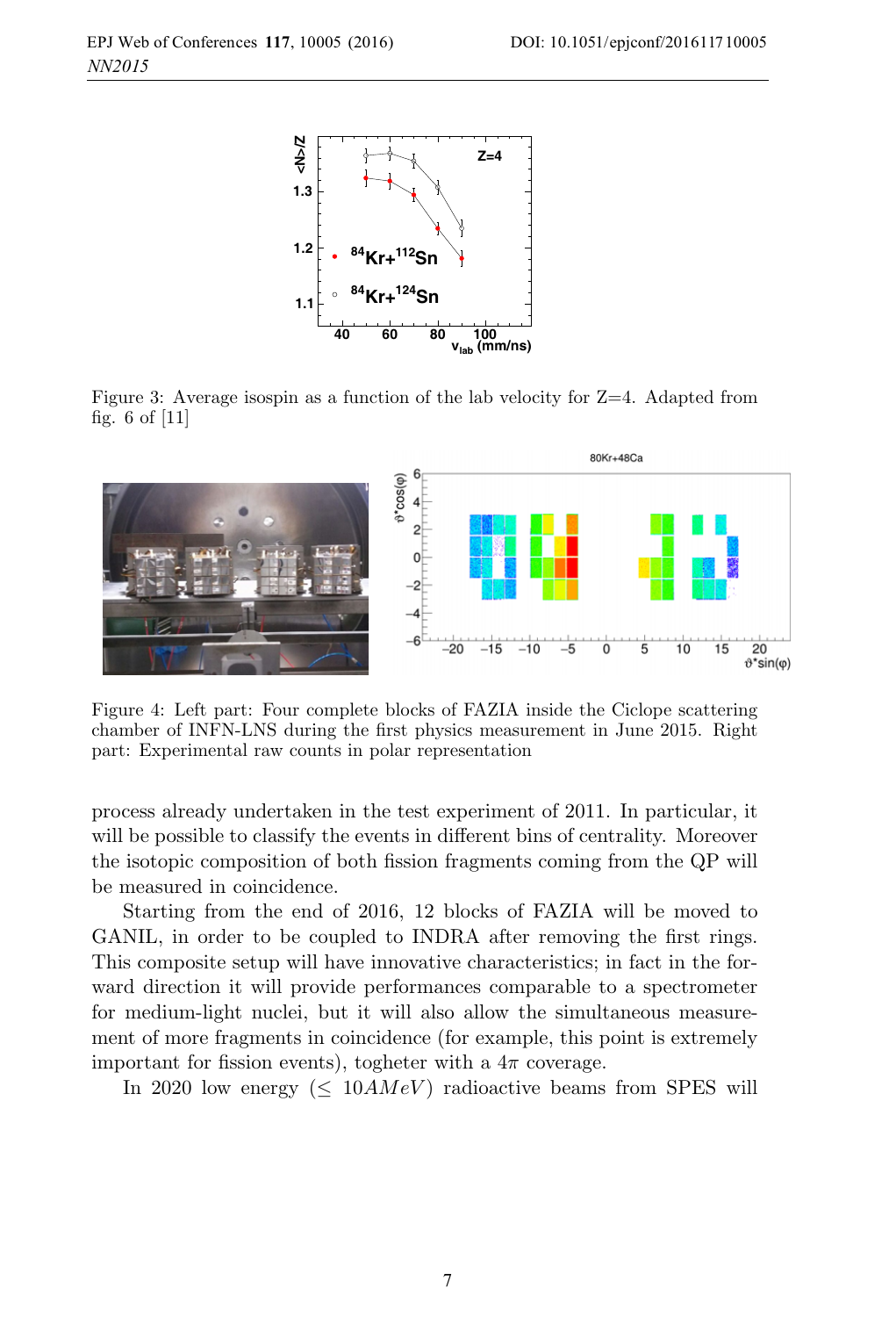

Figure 3: Average isospin as a function of the lab velocity for Z=4. Adapted from fig. 6 of [11]



Figure 4: Left part: Four complete blocks of FAZIA inside the Ciclope scattering chamber of INFN-LNS during the first physics measurement in June 2015. Right part: Experimental raw counts in polar representation

process already undertaken in the test experiment of 2011. In particular, it will be possible to classify the events in different bins of centrality. Moreover the isotopic composition of both fission fragments coming from the QP will be measured in coincidence.

Starting from the end of 2016, 12 blocks of FAZIA will be moved to GANIL, in order to be coupled to INDRA after removing the first rings. This composite setup will have innovative characteristics; in fact in the forward direction it will provide performances comparable to a spectrometer for medium-light nuclei, but it will also allow the simultaneous measurement of more fragments in coincidence (for example, this point is extremely important for fission events), togheter with a  $4\pi$  coverage.

In 2020 low energy ( $\leq 10 A MeV$ ) radioactive beams from SPES will